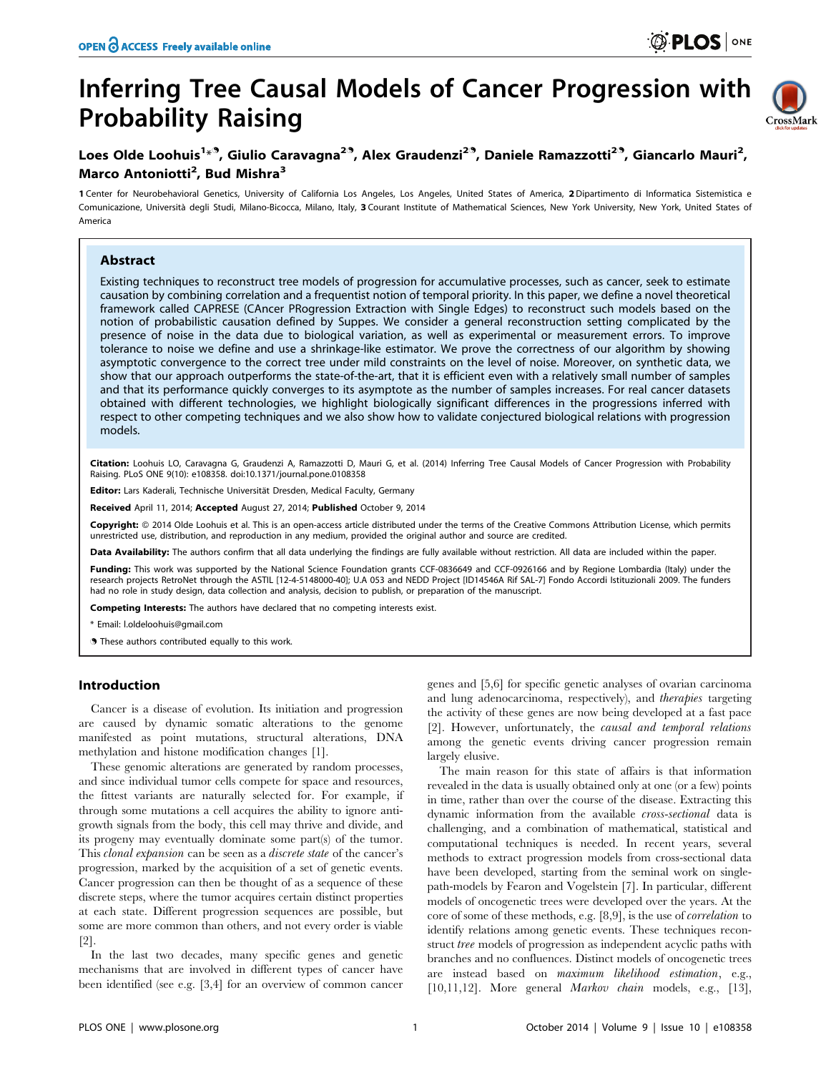# Inferring Tree Causal Models of Cancer Progression with Probability Raising



# Loes Olde Loohuis<sup>1<sub>\*</sub>9</sup>, Giulio Caravagna<sup>29</sup>, Alex Graudenzi<sup>29</sup>, Daniele Ramazzotti<sup>29</sup>, Giancarlo Mauri<sup>2</sup>, Marco Antoniotti<sup>2</sup>, Bud Mishra<sup>3</sup>

1 Center for Neurobehavioral Genetics, University of California Los Angeles, Los Angeles, United States of America, 2 Dipartimento di Informatica Sistemistica e Comunicazione, Università degli Studi, Milano-Bicocca, Milano, Italy, 3 Courant Institute of Mathematical Sciences, New York University, New York, United States of America

# Abstract

Existing techniques to reconstruct tree models of progression for accumulative processes, such as cancer, seek to estimate causation by combining correlation and a frequentist notion of temporal priority. In this paper, we define a novel theoretical framework called CAPRESE (CAncer PRogression Extraction with Single Edges) to reconstruct such models based on the notion of probabilistic causation defined by Suppes. We consider a general reconstruction setting complicated by the presence of noise in the data due to biological variation, as well as experimental or measurement errors. To improve tolerance to noise we define and use a shrinkage-like estimator. We prove the correctness of our algorithm by showing asymptotic convergence to the correct tree under mild constraints on the level of noise. Moreover, on synthetic data, we show that our approach outperforms the state-of-the-art, that it is efficient even with a relatively small number of samples and that its performance quickly converges to its asymptote as the number of samples increases. For real cancer datasets obtained with different technologies, we highlight biologically significant differences in the progressions inferred with respect to other competing techniques and we also show how to validate conjectured biological relations with progression models.

Citation: Loohuis LO, Caravagna G, Graudenzi A, Ramazzotti D, Mauri G, et al. (2014) Inferring Tree Causal Models of Cancer Progression with Probability Raising. PLoS ONE 9(10): e108358. doi:10.1371/journal.pone.0108358

Editor: Lars Kaderali, Technische Universität Dresden, Medical Faculty, Germany

Received April 11, 2014; Accepted August 27, 2014; Published October 9, 2014

Copyright: © 2014 Olde Loohuis et al. This is an open-access article distributed under the terms of the [Creative Commons Attribution License](http://creativecommons.org/licenses/by/4.0/), which permits unrestricted use, distribution, and reproduction in any medium, provided the original author and source are credited.

Data Availability: The authors confirm that all data underlying the findings are fully available without restriction. All data are included within the paper.

Funding: This work was supported by the National Science Foundation grants CCF-0836649 and CCF-0926166 and by Regione Lombardia (Italy) under the research projects RetroNet through the ASTIL [12-4-5148000-40]; U.A 053 and NEDD Project [ID14546A Rif SAL-7] Fondo Accordi Istituzionali 2009. The funders had no role in study design, data collection and analysis, decision to publish, or preparation of the manuscript.

Competing Interests: The authors have declared that no competing interests exist.

\* Email: l.oldeloohuis@gmail.com

**.** These authors contributed equally to this work.

# Introduction

Cancer is a disease of evolution. Its initiation and progression are caused by dynamic somatic alterations to the genome manifested as point mutations, structural alterations, DNA methylation and histone modification changes [1].

These genomic alterations are generated by random processes, and since individual tumor cells compete for space and resources, the fittest variants are naturally selected for. For example, if through some mutations a cell acquires the ability to ignore antigrowth signals from the body, this cell may thrive and divide, and its progeny may eventually dominate some part(s) of the tumor. This clonal expansion can be seen as a discrete state of the cancer's progression, marked by the acquisition of a set of genetic events. Cancer progression can then be thought of as a sequence of these discrete steps, where the tumor acquires certain distinct properties at each state. Different progression sequences are possible, but some are more common than others, and not every order is viable [2].

In the last two decades, many specific genes and genetic mechanisms that are involved in different types of cancer have been identified (see e.g. [3,4] for an overview of common cancer genes and [5,6] for specific genetic analyses of ovarian carcinoma and lung adenocarcinoma, respectively), and therapies targeting the activity of these genes are now being developed at a fast pace [2]. However, unfortunately, the *causal and temporal relations* among the genetic events driving cancer progression remain largely elusive.

The main reason for this state of affairs is that information revealed in the data is usually obtained only at one (or a few) points in time, rather than over the course of the disease. Extracting this dynamic information from the available cross-sectional data is challenging, and a combination of mathematical, statistical and computational techniques is needed. In recent years, several methods to extract progression models from cross-sectional data have been developed, starting from the seminal work on singlepath-models by Fearon and Vogelstein [7]. In particular, different models of oncogenetic trees were developed over the years. At the core of some of these methods, e.g. [8,9], is the use of correlation to identify relations among genetic events. These techniques reconstruct tree models of progression as independent acyclic paths with branches and no confluences. Distinct models of oncogenetic trees are instead based on maximum likelihood estimation, e.g., [10,11,12]. More general Markov chain models, e.g., [13],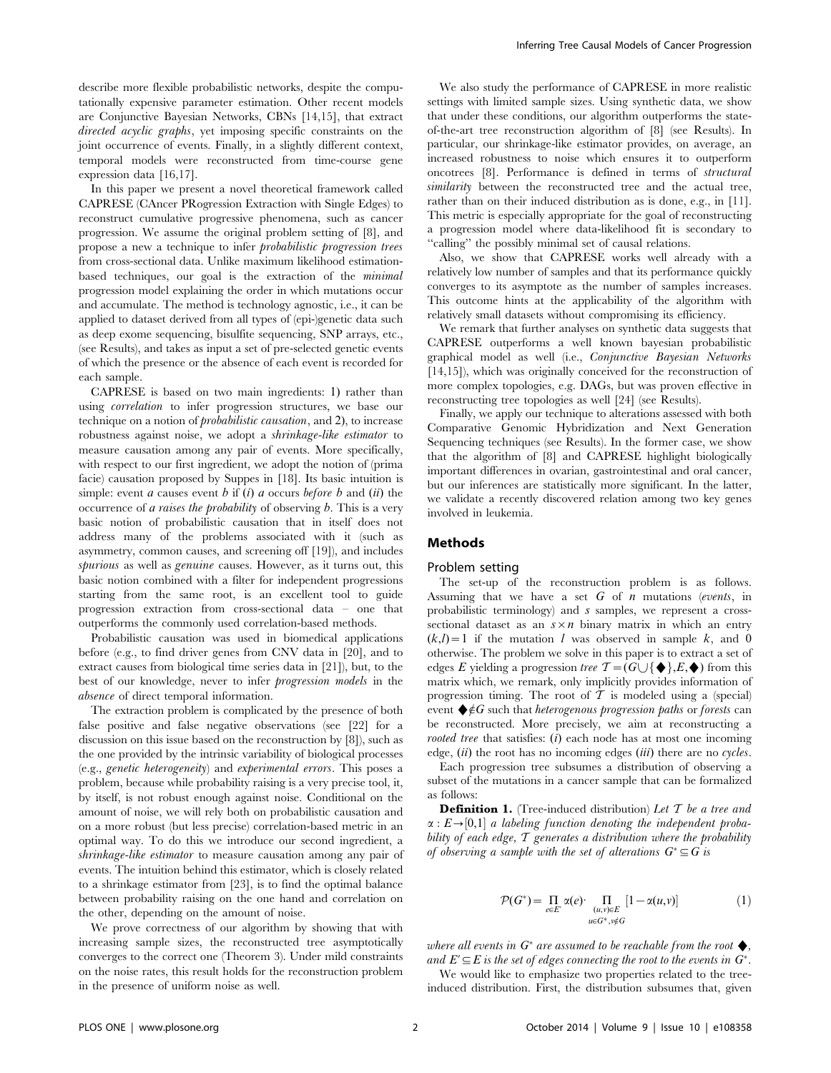describe more flexible probabilistic networks, despite the computationally expensive parameter estimation. Other recent models are Conjunctive Bayesian Networks, CBNs [14,15], that extract directed acyclic graphs, yet imposing specific constraints on the joint occurrence of events. Finally, in a slightly different context, temporal models were reconstructed from time-course gene expression data [16,17].

In this paper we present a novel theoretical framework called CAPRESE (CAncer PRogression Extraction with Single Edges) to reconstruct cumulative progressive phenomena, such as cancer progression. We assume the original problem setting of [8], and propose a new a technique to infer probabilistic progression trees from cross-sectional data. Unlike maximum likelihood estimationbased techniques, our goal is the extraction of the minimal progression model explaining the order in which mutations occur and accumulate. The method is technology agnostic, i.e., it can be applied to dataset derived from all types of (epi-)genetic data such as deep exome sequencing, bisulfite sequencing, SNP arrays, etc., (see Results), and takes as input a set of pre-selected genetic events of which the presence or the absence of each event is recorded for each sample.

CAPRESE is based on two main ingredients: 1) rather than using correlation to infer progression structures, we base our technique on a notion of probabilistic causation, and 2), to increase robustness against noise, we adopt a shrinkage-like estimator to measure causation among any pair of events. More specifically, with respect to our first ingredient, we adopt the notion of (prima facie) causation proposed by Suppes in [18]. Its basic intuition is simple: event a causes event b if (i) a occurs before b and (ii) the occurrence of a raises the probability of observing b. This is a very basic notion of probabilistic causation that in itself does not address many of the problems associated with it (such as asymmetry, common causes, and screening off [19]), and includes spurious as well as *genuine* causes. However, as it turns out, this basic notion combined with a filter for independent progressions starting from the same root, is an excellent tool to guide progression extraction from cross-sectional data – one that outperforms the commonly used correlation-based methods.

Probabilistic causation was used in biomedical applications before (e.g., to find driver genes from CNV data in [20], and to extract causes from biological time series data in [21]), but, to the best of our knowledge, never to infer progression models in the absence of direct temporal information.

The extraction problem is complicated by the presence of both false positive and false negative observations (see [22] for a discussion on this issue based on the reconstruction by [8]), such as the one provided by the intrinsic variability of biological processes (e.g., genetic heterogeneity) and experimental errors. This poses a problem, because while probability raising is a very precise tool, it, by itself, is not robust enough against noise. Conditional on the amount of noise, we will rely both on probabilistic causation and on a more robust (but less precise) correlation-based metric in an optimal way. To do this we introduce our second ingredient, a shrinkage-like estimator to measure causation among any pair of events. The intuition behind this estimator, which is closely related to a shrinkage estimator from [23], is to find the optimal balance between probability raising on the one hand and correlation on the other, depending on the amount of noise.

We prove correctness of our algorithm by showing that with increasing sample sizes, the reconstructed tree asymptotically converges to the correct one (Theorem 3). Under mild constraints on the noise rates, this result holds for the reconstruction problem in the presence of uniform noise as well.

We also study the performance of CAPRESE in more realistic settings with limited sample sizes. Using synthetic data, we show that under these conditions, our algorithm outperforms the stateof-the-art tree reconstruction algorithm of [8] (see Results). In particular, our shrinkage-like estimator provides, on average, an increased robustness to noise which ensures it to outperform oncotrees [8]. Performance is defined in terms of structural similarity between the reconstructed tree and the actual tree, rather than on their induced distribution as is done, e.g., in [11]. This metric is especially appropriate for the goal of reconstructing a progression model where data-likelihood fit is secondary to "calling" the possibly minimal set of causal relations.

Also, we show that CAPRESE works well already with a relatively low number of samples and that its performance quickly converges to its asymptote as the number of samples increases. This outcome hints at the applicability of the algorithm with relatively small datasets without compromising its efficiency.

We remark that further analyses on synthetic data suggests that CAPRESE outperforms a well known bayesian probabilistic graphical model as well (i.e., Conjunctive Bayesian Networks [14,15]), which was originally conceived for the reconstruction of more complex topologies, e.g. DAGs, but was proven effective in reconstructing tree topologies as well [24] (see Results).

Finally, we apply our technique to alterations assessed with both Comparative Genomic Hybridization and Next Generation Sequencing techniques (see Results). In the former case, we show that the algorithm of [8] and CAPRESE highlight biologically important differences in ovarian, gastrointestinal and oral cancer, but our inferences are statistically more significant. In the latter, we validate a recently discovered relation among two key genes involved in leukemia.

#### Methods

#### Problem setting

The set-up of the reconstruction problem is as follows. Assuming that we have a set  $G$  of  $n$  mutations (events, in probabilistic terminology) and s samples, we represent a crosssectional dataset as an  $s \times n$  binary matrix in which an entry  $(k,l)=1$  if the mutation l was observed in sample k, and 0 otherwise. The problem we solve in this paper is to extract a set of edges E yielding a progression tree  $\mathcal{T} = (G \cup \{\blacklozenge\}, E, \blacklozenge)$  from this matrix which, we remark, only implicitly provides information of progression timing. The root of  $\mathcal T$  is modeled using a (special) event  $\blacklozenge \notin G$  such that *heterogenous progression paths* or *forests* can be reconstructed. More precisely, we aim at reconstructing a rooted tree that satisfies:  $(i)$  each node has at most one incoming edge,  $(ii)$  the root has no incoming edges  $(iii)$  there are no cycles.

Each progression tree subsumes a distribution of observing a subset of the mutations in a cancer sample that can be formalized as follows:

**Definition 1.** (Tree-induced distribution) Let  $T$  be a tree and  $\alpha: E \rightarrow [0,1]$  a labeling function denoting the independent probability of each edge,  $T$  generates a distribution where the probability of observing a sample with the set of alterations  $G^* \subseteq G$  is

$$
\mathcal{P}(G^*) = \prod_{e \in E'} \alpha(e) \cdot \prod_{\substack{(u,v) \in E \\ u \in G^*, v \notin G}} [1 - \alpha(u,v)] \tag{1}
$$

where all events in  $G^*$  are assumed to be reachable from the root  $\blacklozenge$ , and  $E' \subseteq E$  is the set of edges connecting the root to the events in  $G^*$ .

We would like to emphasize two properties related to the treeinduced distribution. First, the distribution subsumes that, given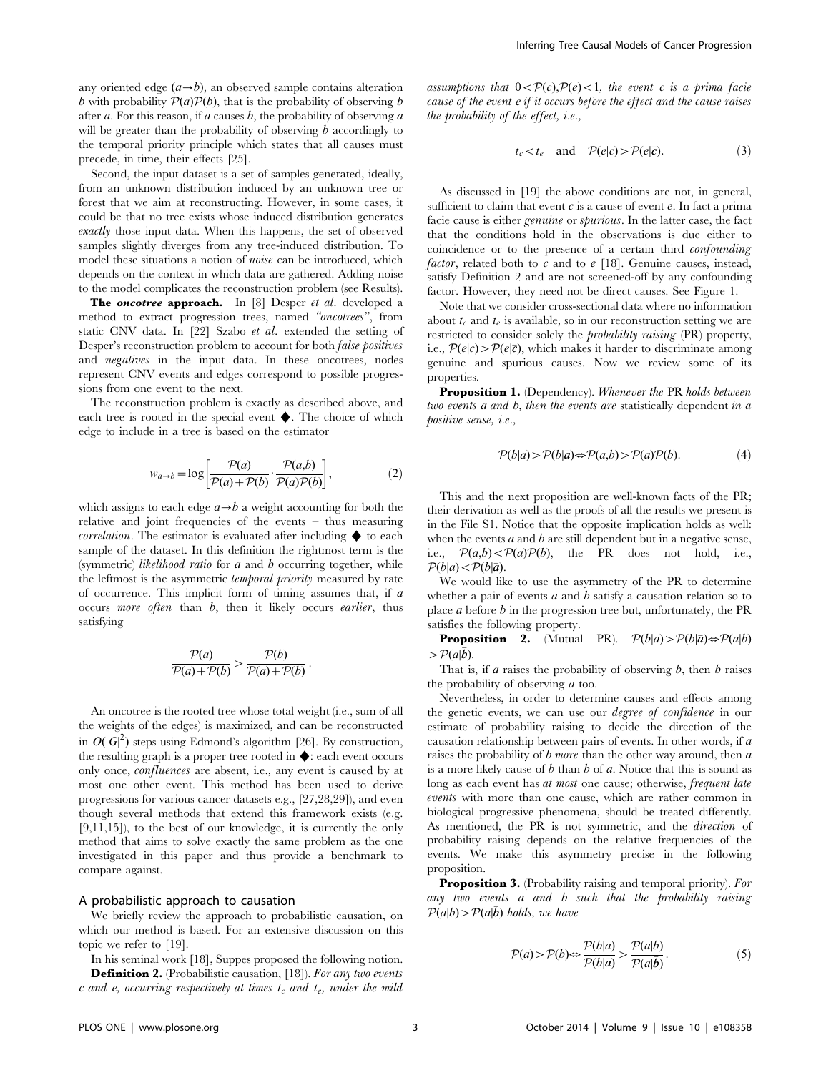any oriented edge  $(a \rightarrow b)$ , an observed sample contains alteration b with probability  $P(a)P(b)$ , that is the probability of observing b after  $a$ . For this reason, if  $a$  causes  $b$ , the probability of observing  $a$ will be greater than the probability of observing  $b$  accordingly to the temporal priority principle which states that all causes must precede, in time, their effects [25].

Second, the input dataset is a set of samples generated, ideally, from an unknown distribution induced by an unknown tree or forest that we aim at reconstructing. However, in some cases, it could be that no tree exists whose induced distribution generates exactly those input data. When this happens, the set of observed samples slightly diverges from any tree-induced distribution. To model these situations a notion of noise can be introduced, which depends on the context in which data are gathered. Adding noise to the model complicates the reconstruction problem (see Results).

The oncotree approach. In [8] Desper et al. developed a method to extract progression trees, named ''oncotrees'', from static CNV data. In [22] Szabo et al. extended the setting of Desper's reconstruction problem to account for both false positives and negatives in the input data. In these oncotrees, nodes represent CNV events and edges correspond to possible progressions from one event to the next.

The reconstruction problem is exactly as described above, and each tree is rooted in the special event  $\blacklozenge$ . The choice of which edge to include in a tree is based on the estimator

$$
w_{a \to b} = \log \left[ \frac{\mathcal{P}(a)}{\mathcal{P}(a) + \mathcal{P}(b)} \cdot \frac{\mathcal{P}(a, b)}{\mathcal{P}(a)\mathcal{P}(b)} \right],\tag{2}
$$

which assigns to each edge  $a \rightarrow b$  a weight accounting for both the relative and joint frequencies of the events – thus measuring *correlation*. The estimator is evaluated after including  $\blacklozenge$  to each sample of the dataset. In this definition the rightmost term is the (symmetric) *likelihood ratio* for  $a$  and  $b$  occurring together, while the leftmost is the asymmetric temporal priority measured by rate of occurrence. This implicit form of timing assumes that, if a occurs more often than  $b$ , then it likely occurs earlier, thus satisfying

$$
\frac{\mathcal{P}(a)}{\mathcal{P}(a) + \mathcal{P}(b)} > \frac{\mathcal{P}(b)}{\mathcal{P}(a) + \mathcal{P}(b)}.
$$

An oncotree is the rooted tree whose total weight (i.e., sum of all the weights of the edges) is maximized, and can be reconstructed in  $O(|G|^2)$  steps using Edmond's algorithm [26]. By construction, the resulting graph is a proper tree rooted in  $\blacklozenge$ : each event occurs only once, confluences are absent, i.e., any event is caused by at most one other event. This method has been used to derive progressions for various cancer datasets e.g., [27,28,29]), and even though several methods that extend this framework exists (e.g. [9,11,15]), to the best of our knowledge, it is currently the only method that aims to solve exactly the same problem as the one investigated in this paper and thus provide a benchmark to compare against.

## A probabilistic approach to causation

We briefly review the approach to probabilistic causation, on which our method is based. For an extensive discussion on this topic we refer to [19].

In his seminal work [18], Suppes proposed the following notion. Definition 2. (Probabilistic causation, [18]). For any two events c and e, occurring respectively at times  $t_c$  and  $t_e$ , under the mild

assumptions that  $0 < P(c), P(e) < 1$ , the event c is a prima facie cause of the event e if it occurs before the effect and the cause raises the probability of the effect, i.e.,

$$
t_c < t_e
$$
 and  $\mathcal{P}(e|c) > \mathcal{P}(e|\overline{c}).$  (3)

As discussed in [19] the above conditions are not, in general, sufficient to claim that event  $c$  is a cause of event  $e$ . In fact a prima facie cause is either genuine or spurious. In the latter case, the fact that the conditions hold in the observations is due either to coincidence or to the presence of a certain third confounding factor, related both to c and to e [18]. Genuine causes, instead, satisfy Definition 2 and are not screened-off by any confounding factor. However, they need not be direct causes. See Figure 1.

Note that we consider cross-sectional data where no information about  $t_c$  and  $t_e$  is available, so in our reconstruction setting we are restricted to consider solely the probability raising (PR) property, i.e.,  $\mathcal{P}(e|c) > \mathcal{P}(e|\overline{c})$ , which makes it harder to discriminate among genuine and spurious causes. Now we review some of its properties.

Proposition 1. (Dependency). Whenever the PR holds between two events a and b, then the events are statistically dependent in a positive sense, i.e.,

$$
\mathcal{P}(b|a) > \mathcal{P}(b|\overline{a}) \Leftrightarrow \mathcal{P}(a,b) > \mathcal{P}(a)\mathcal{P}(b). \tag{4}
$$

This and the next proposition are well-known facts of the PR; their derivation as well as the proofs of all the results we present is in the File S1. Notice that the opposite implication holds as well: when the events  $a$  and  $b$  are still dependent but in a negative sense, i.e.,  $\mathcal{P}(a,b) < \mathcal{P}(a)\mathcal{P}(b)$ , the PR does not hold, i.e.,  $\mathcal{P}(b|a) < \mathcal{P}(b|\bar{a})$ .

We would like to use the asymmetry of the PR to determine whether a pair of events  $a$  and  $b$  satisfy a causation relation so to place  $\alpha$  before  $\beta$  in the progression tree but, unfortunately, the PR satisfies the following property.

**Proposition 2.** (Mutual PR).  $\mathcal{P}(b|a) > \mathcal{P}(b|\bar{a}) \Leftrightarrow \mathcal{P}(a|b)$  $>\mathcal{P}(a|\bar{b})$ .

That is, if  $a$  raises the probability of observing  $b$ , then  $b$  raises the probability of observing a too.

Nevertheless, in order to determine causes and effects among the genetic events, we can use our degree of confidence in our estimate of probability raising to decide the direction of the causation relationship between pairs of events. In other words, if a raises the probability of b more than the other way around, then a is a more likely cause of  $b$  than  $b$  of  $a$ . Notice that this is sound as long as each event has *at most* one cause; otherwise, *frequent late* events with more than one cause, which are rather common in biological progressive phenomena, should be treated differently. As mentioned, the PR is not symmetric, and the direction of probability raising depends on the relative frequencies of the events. We make this asymmetry precise in the following proposition.

**Proposition 3.** (Probability raising and temporal priority). For any two events a and b such that the probability raising  $\mathcal{P}(a|b) > \mathcal{P}(a|\bar{b})$  holds, we have

$$
\mathcal{P}(a) > \mathcal{P}(b) \Leftrightarrow \frac{\mathcal{P}(b|a)}{\mathcal{P}(b|\bar{a})} > \frac{\mathcal{P}(a|b)}{\mathcal{P}(a|\bar{b})}.\tag{5}
$$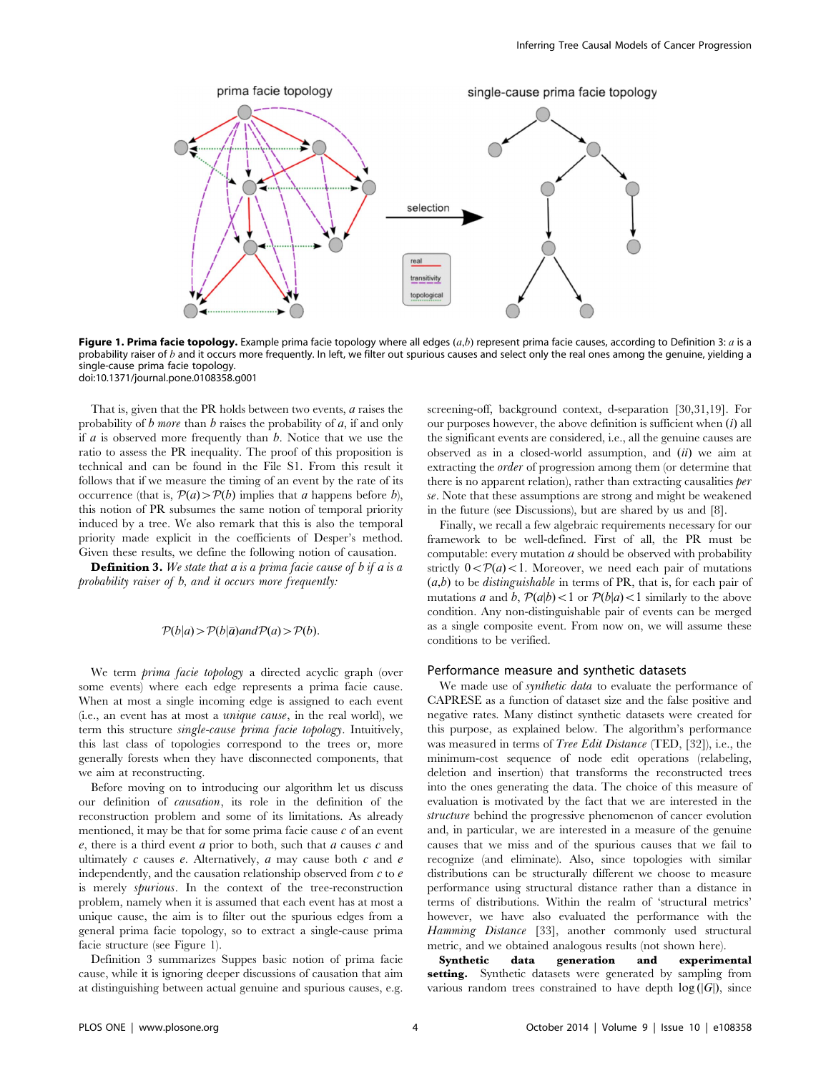

**Figure 1. Prima facie topology.** Example prima facie topology where all edges  $(a,b)$  represent prima facie causes, according to Definition 3: a is a probability raiser of b and it occurs more frequently. In left, we filter out spurious causes and select only the real ones among the genuine, yielding a single-cause prima facie topology. doi:10.1371/journal.pone.0108358.g001

That is, given that the PR holds between two events,  $a$  raises the probability of  $b$  more than  $b$  raises the probability of  $a$ , if and only if  $a$  is observed more frequently than  $b$ . Notice that we use the ratio to assess the PR inequality. The proof of this proposition is technical and can be found in the File S1. From this result it follows that if we measure the timing of an event by the rate of its occurrence (that is,  $\mathcal{P}(a) > \mathcal{P}(b)$  implies that a happens before b), this notion of PR subsumes the same notion of temporal priority induced by a tree. We also remark that this is also the temporal priority made explicit in the coefficients of Desper's method. Given these results, we define the following notion of causation.

**Definition 3.** We state that  $a$  is a prima facie cause of  $b$  if  $a$  is  $a$ probability raiser of b, and it occurs more frequently:

$$
\mathcal{P}(b|a) > \mathcal{P}(b|\bar{a}) and \mathcal{P}(a) > \mathcal{P}(b).
$$

We term prima facie topology a directed acyclic graph (over some events) where each edge represents a prima facie cause. When at most a single incoming edge is assigned to each event (i.e., an event has at most a unique cause, in the real world), we term this structure single-cause prima facie topology. Intuitively, this last class of topologies correspond to the trees or, more generally forests when they have disconnected components, that we aim at reconstructing.

Before moving on to introducing our algorithm let us discuss our definition of causation, its role in the definition of the reconstruction problem and some of its limitations. As already mentioned, it may be that for some prima facie cause  $c$  of an event  $e$ , there is a third event  $a$  prior to both, such that  $a$  causes  $c$  and ultimately  $c$  causes  $e$ . Alternatively,  $a$  may cause both  $c$  and  $e$ independently, and the causation relationship observed from  $c$  to  $e$ is merely spurious. In the context of the tree-reconstruction problem, namely when it is assumed that each event has at most a unique cause, the aim is to filter out the spurious edges from a general prima facie topology, so to extract a single-cause prima facie structure (see Figure 1).

Definition 3 summarizes Suppes basic notion of prima facie cause, while it is ignoring deeper discussions of causation that aim at distinguishing between actual genuine and spurious causes, e.g.

screening-off, background context, d-separation [30,31,19]. For our purposes however, the above definition is sufficient when  $(i)$  all the significant events are considered, i.e., all the genuine causes are observed as in a closed-world assumption, and (ii) we aim at extracting the order of progression among them (or determine that there is no apparent relation), rather than extracting causalities per se. Note that these assumptions are strong and might be weakened in the future (see Discussions), but are shared by us and [8].

Finally, we recall a few algebraic requirements necessary for our framework to be well-defined. First of all, the PR must be computable: every mutation  $a$  should be observed with probability strictly  $0 < P(a) < 1$ . Moreover, we need each pair of mutations  $(a,b)$  to be *distinguishable* in terms of PR, that is, for each pair of mutations a and b,  $P(a|b) < 1$  or  $P(b|a) < 1$  similarly to the above condition. Any non-distinguishable pair of events can be merged as a single composite event. From now on, we will assume these conditions to be verified.

# Performance measure and synthetic datasets

We made use of *synthetic data* to evaluate the performance of CAPRESE as a function of dataset size and the false positive and negative rates. Many distinct synthetic datasets were created for this purpose, as explained below. The algorithm's performance was measured in terms of Tree Edit Distance (TED, [32]), i.e., the minimum-cost sequence of node edit operations (relabeling, deletion and insertion) that transforms the reconstructed trees into the ones generating the data. The choice of this measure of evaluation is motivated by the fact that we are interested in the structure behind the progressive phenomenon of cancer evolution and, in particular, we are interested in a measure of the genuine causes that we miss and of the spurious causes that we fail to recognize (and eliminate). Also, since topologies with similar distributions can be structurally different we choose to measure performance using structural distance rather than a distance in terms of distributions. Within the realm of 'structural metrics' however, we have also evaluated the performance with the Hamming Distance [33], another commonly used structural metric, and we obtained analogous results (not shown here).

Synthetic data generation and experimental setting. Synthetic datasets were generated by sampling from various random trees constrained to have depth  $log(|G|)$ , since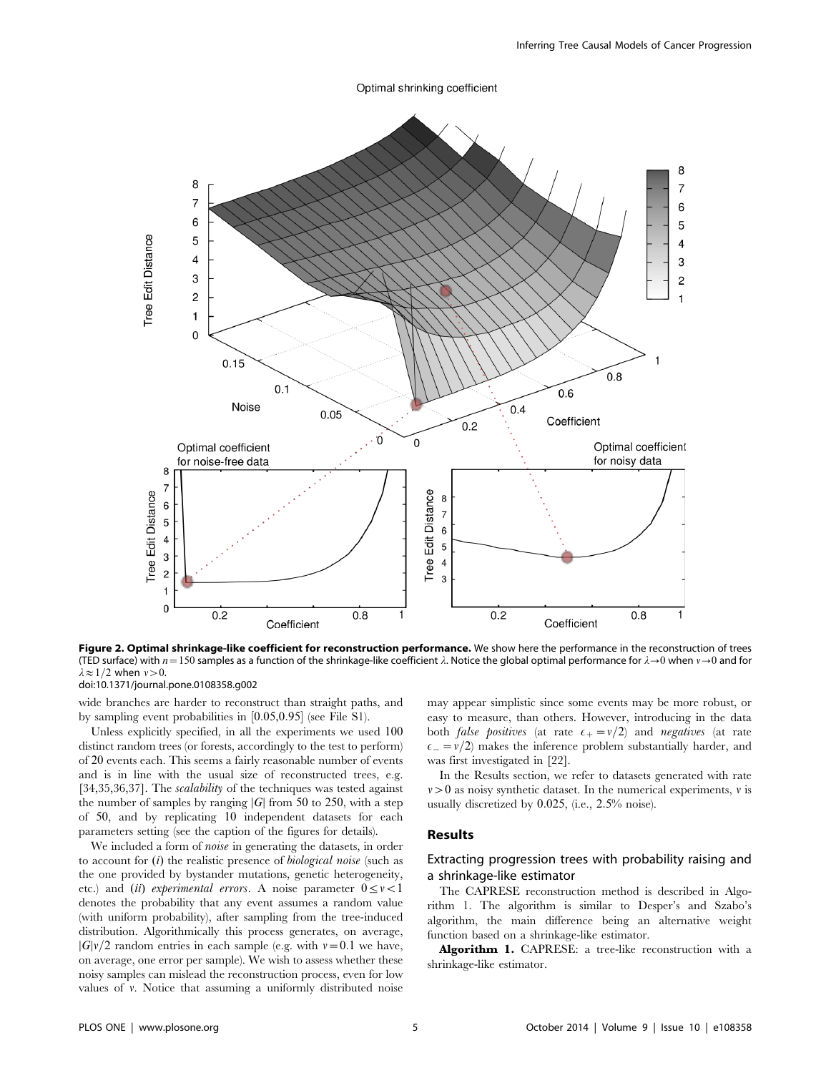



Figure 2. Optimal shrinkage-like coefficient for reconstruction performance. We show here the performance in the reconstruction of trees (TED surface) with  $n=150$  samples as a function of the shrinkage-like coefficient  $\lambda$ . Notice the global optimal performance for  $\lambda \rightarrow 0$  when  $v \rightarrow 0$  and for  $\lambda \approx 1/2$  when  $v > 0$ .

doi:10.1371/journal.pone.0108358.g002

wide branches are harder to reconstruct than straight paths, and by sampling event probabilities in  $[0.05, 0.95]$  (see File S1).

Unless explicitly specified, in all the experiments we used 100 distinct random trees (or forests, accordingly to the test to perform) of 20 events each. This seems a fairly reasonable number of events and is in line with the usual size of reconstructed trees, e.g. [34,35,36,37]. The *scalability* of the techniques was tested against the number of samples by ranging  $|G|$  from 50 to 250, with a step of 50, and by replicating 10 independent datasets for each parameters setting (see the caption of the figures for details).

We included a form of noise in generating the datasets, in order to account for (i) the realistic presence of biological noise (such as the one provided by bystander mutations, genetic heterogeneity, etc.) and *(ii) experimental errors*. A noise parameter  $0 \le v < 1$ denotes the probability that any event assumes a random value (with uniform probability), after sampling from the tree-induced distribution. Algorithmically this process generates, on average,  $|G|v/2$  random entries in each sample (e.g. with  $v=0.1$  we have, on average, one error per sample). We wish to assess whether these noisy samples can mislead the reconstruction process, even for low values of  $\nu$ . Notice that assuming a uniformly distributed noise

may appear simplistic since some events may be more robust, or easy to measure, than others. However, introducing in the data both *false positives* (at rate  $\epsilon_+ = v/2$ ) and *negatives* (at rate  $\epsilon$  =  $v/2$ ) makes the inference problem substantially harder, and was first investigated in [22].

In the Results section, we refer to datasets generated with rate  $v > 0$  as noisy synthetic dataset. In the numerical experiments, v is usually discretized by 0:025, (i.e., 2:5% noise).

# Results

# Extracting progression trees with probability raising and a shrinkage-like estimator

The CAPRESE reconstruction method is described in Algorithm 1. The algorithm is similar to Desper's and Szabo's algorithm, the main difference being an alternative weight function based on a shrinkage-like estimator.

Algorithm 1. CAPRESE: a tree-like reconstruction with a shrinkage-like estimator.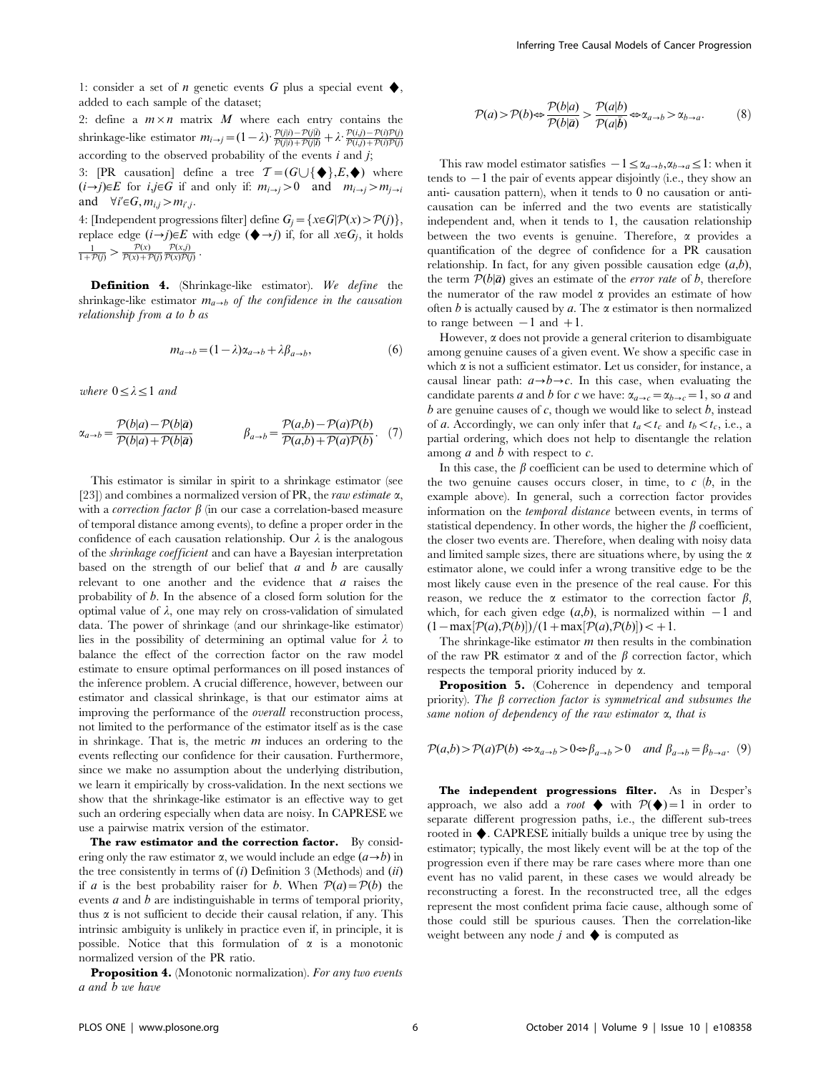1: consider a set of *n* genetic events G plus a special event  $\blacklozenge$ , added to each sample of the dataset;

2: define a  $m \times n$  matrix M where each entry contains the shrinkage-like estimator  $m_{i\to j} = (1 - \lambda) \cdot \frac{p(j|i) - p(j|\bar{i})}{p(j|i) + p(j|\bar{i})} + \lambda \cdot \frac{p(i,j) - p(i) p(j)}{p(i,j) + p(i) p(j)}$ according to the observed probability of the events  $i$  and  $j$ ;

3: [PR causation] define a tree  $\mathcal{T} = (G \cup \{\blacklozenge\}, E, \blacklozenge)$  where  $(i \rightarrow j)\in E$  for  $i, j \in G$  if and only if:  $m_{i \rightarrow j} > 0$  and  $m_{i \rightarrow j} > m_{i \rightarrow i}$ and  $\forall i' \in G, m_{i,j} > m_{i',j}$ .

4: [Independent progressions filter] define  $G_i = \{x \in G | \mathcal{P}(x) > \mathcal{P}(i)\},\$ replace edge  $(i \rightarrow j)\in E$  with edge  $(\blacklozenge \rightarrow j)$  if, for all  $x \in G_i$ , it holds  $\frac{1}{1+\mathcal{P}(j)} > \frac{\mathcal{P}(x)}{\mathcal{P}(x)+\mathcal{P}(j)} \frac{\mathcal{P}(x,j)}{\mathcal{P}(x)\mathcal{P}(j)}$ .

Definition 4. (Shrinkage-like estimator). We define the shrinkage-like estimator  $m_{a\rightarrow b}$  of the confidence in the causation relationship from a to b as

$$
m_{a \to b} = (1 - \lambda)\alpha_{a \to b} + \lambda\beta_{a \to b},\tag{6}
$$

where  $0 \leq \lambda \leq 1$  and

$$
\alpha_{a \to b} = \frac{\mathcal{P}(b|a) - \mathcal{P}(b|\bar{a})}{\mathcal{P}(b|a) + \mathcal{P}(b|\bar{a})} \qquad \beta_{a \to b} = \frac{\mathcal{P}(a,b) - \mathcal{P}(a)\mathcal{P}(b)}{\mathcal{P}(a,b) + \mathcal{P}(a)\mathcal{P}(b)}.
$$
 (7)

This estimator is similar in spirit to a shrinkage estimator (see [23]) and combines a normalized version of PR, the raw estimate  $\alpha$ , with a *correction factor*  $\beta$  (in our case a correlation-based measure of temporal distance among events), to define a proper order in the confidence of each causation relationship. Our  $\lambda$  is the analogous of the shrinkage coefficient and can have a Bayesian interpretation based on the strength of our belief that  $a$  and  $b$  are causally relevant to one another and the evidence that a raises the probability of b. In the absence of a closed form solution for the optimal value of  $\lambda$ , one may rely on cross-validation of simulated data. The power of shrinkage (and our shrinkage-like estimator) lies in the possibility of determining an optimal value for  $\lambda$  to balance the effect of the correction factor on the raw model estimate to ensure optimal performances on ill posed instances of the inference problem. A crucial difference, however, between our estimator and classical shrinkage, is that our estimator aims at improving the performance of the overall reconstruction process, not limited to the performance of the estimator itself as is the case in shrinkage. That is, the metric  $m$  induces an ordering to the events reflecting our confidence for their causation. Furthermore, since we make no assumption about the underlying distribution, we learn it empirically by cross-validation. In the next sections we show that the shrinkage-like estimator is an effective way to get such an ordering especially when data are noisy. In CAPRESE we use a pairwise matrix version of the estimator.

The raw estimator and the correction factor. By considering only the raw estimator  $\alpha$ , we would include an edge  $(a \rightarrow b)$  in the tree consistently in terms of  $(i)$  Definition 3 (Methods) and  $(ii)$ if *a* is the best probability raiser for *b*. When  $P(a) = P(b)$  the events  $a$  and  $b$  are indistinguishable in terms of temporal priority, thus  $\alpha$  is not sufficient to decide their causal relation, if any. This intrinsic ambiguity is unlikely in practice even if, in principle, it is possible. Notice that this formulation of  $\alpha$  is a monotonic normalized version of the PR ratio.

**Proposition 4.** (Monotonic normalization). For any two events a and b we have

$$
\mathcal{P}(a) > \mathcal{P}(b) \Leftrightarrow \frac{\mathcal{P}(b|a)}{\mathcal{P}(b|\bar{a})} > \frac{\mathcal{P}(a|b)}{\mathcal{P}(a|\bar{b})} \Leftrightarrow \alpha_{a \to b} > \alpha_{b \to a}.\tag{8}
$$

This raw model estimator satisfies  $-1 \leq \alpha_{a\rightarrow b}, \alpha_{b\rightarrow a} \leq 1$ : when it tends to  $-1$  the pair of events appear disjointly (i.e., they show an anti- causation pattern), when it tends to 0 no causation or anticausation can be inferred and the two events are statistically independent and, when it tends to 1, the causation relationship between the two events is genuine. Therefore,  $\alpha$  provides a quantification of the degree of confidence for a PR causation relationship. In fact, for any given possible causation edge  $(a,b)$ , the term  $P(b|\bar{a})$  gives an estimate of the *error rate* of b, therefore the numerator of the raw model  $\alpha$  provides an estimate of how often  $b$  is actually caused by  $a$ . The  $\alpha$  estimator is then normalized to range between  $-1$  and  $+1$ .

However,  $\alpha$  does not provide a general criterion to disambiguate among genuine causes of a given event. We show a specific case in which  $\alpha$  is not a sufficient estimator. Let us consider, for instance, a causal linear path:  $a \rightarrow b \rightarrow c$ . In this case, when evaluating the candidate parents a and b for c we have:  $\alpha_{a\rightarrow c} = \alpha_{b\rightarrow c} = 1$ , so a and  $b$  are genuine causes of  $c$ , though we would like to select  $b$ , instead of a. Accordingly, we can only infer that  $t_a < t_c$  and  $t_b < t_c$ , i.e., a partial ordering, which does not help to disentangle the relation among  $a$  and  $b$  with respect to  $c$ .

In this case, the  $\beta$  coefficient can be used to determine which of the two genuine causes occurs closer, in time, to  $c(b, in)$  the example above). In general, such a correction factor provides information on the temporal distance between events, in terms of statistical dependency. In other words, the higher the  $\beta$  coefficient, the closer two events are. Therefore, when dealing with noisy data and limited sample sizes, there are situations where, by using the  $\alpha$ estimator alone, we could infer a wrong transitive edge to be the most likely cause even in the presence of the real cause. For this reason, we reduce the  $\alpha$  estimator to the correction factor  $\beta$ , which, for each given edge  $(a,b)$ , is normalized within  $-1$  and  $(1 - \max[\mathcal{P}(a), \mathcal{P}(b)])/(1 + \max[\mathcal{P}(a), \mathcal{P}(b)]) < +1.$ 

The shrinkage-like estimator  $m$  then results in the combination of the raw PR estimator  $\alpha$  and of the  $\beta$  correction factor, which respects the temporal priority induced by a.

Proposition 5. (Coherence in dependency and temporal priority). The  $\beta$  correction factor is symmetrical and subsumes the same notion of dependency of the raw estimator  $\alpha$ , that is

$$
\mathcal{P}(a,b) > \mathcal{P}(a)\mathcal{P}(b) \Leftrightarrow \alpha_{a\to b} > 0 \Leftrightarrow \beta_{a\to b} > 0 \quad \text{and } \beta_{a\to b} = \beta_{b\to a}.\tag{9}
$$

The independent progressions filter. As in Desper's approach, we also add a *root*  $\blacklozenge$  with  $\mathcal{P}(\blacklozenge) = 1$  in order to separate different progression paths, i.e., the different sub-trees rooted in  $\blacklozenge$ . CAPRESE initially builds a unique tree by using the estimator; typically, the most likely event will be at the top of the progression even if there may be rare cases where more than one event has no valid parent, in these cases we would already be reconstructing a forest. In the reconstructed tree, all the edges represent the most confident prima facie cause, although some of those could still be spurious causes. Then the correlation-like weight between any node  $j$  and  $\blacklozenge$  is computed as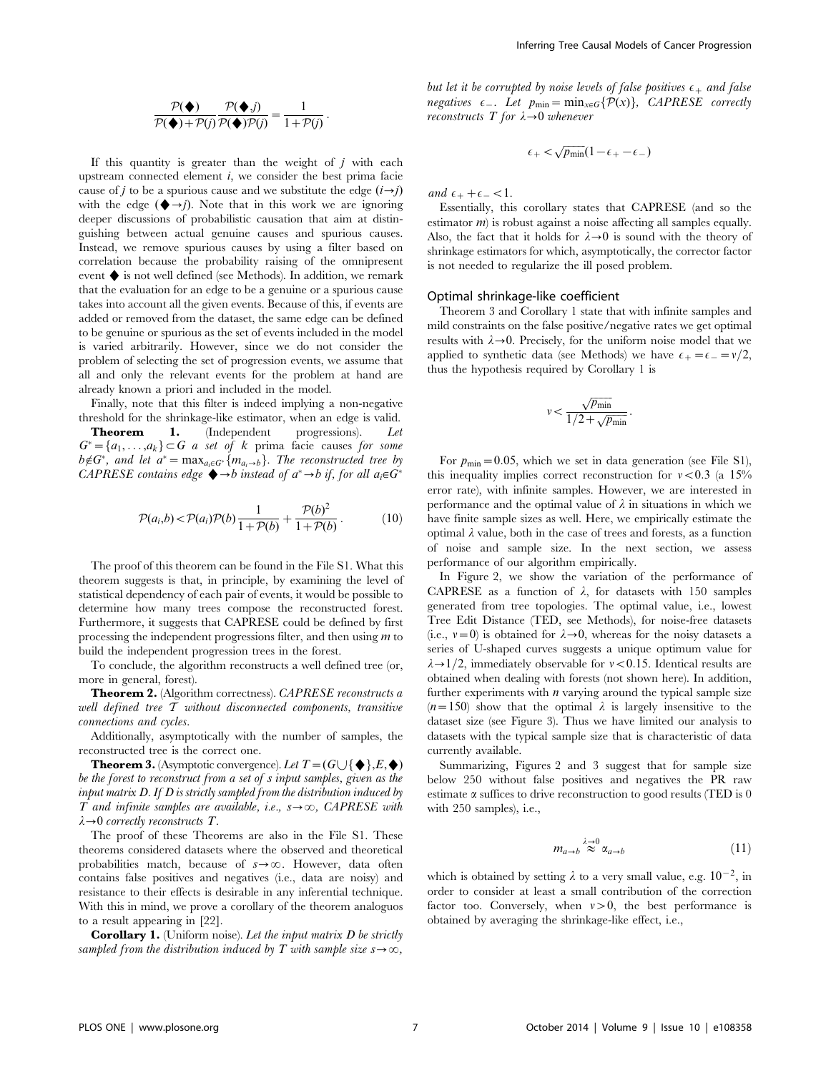$$
\frac{\mathcal{P}(\blacklozenge)}{\mathcal{P}(\blacklozenge) + \mathcal{P}(j)} \frac{\mathcal{P}(\blacklozenge, j)}{\mathcal{P}(\blacklozenge) \mathcal{P}(j)} = \frac{1}{1 + \mathcal{P}(j)}
$$

:

If this quantity is greater than the weight of  $j$  with each upstream connected element  $i$ , we consider the best prima facie cause of *j* to be a spurious cause and we substitute the edge  $(i \rightarrow j)$ with the edge  $(\blacklozenge \rightarrow j)$ . Note that in this work we are ignoring deeper discussions of probabilistic causation that aim at distinguishing between actual genuine causes and spurious causes. Instead, we remove spurious causes by using a filter based on correlation because the probability raising of the omnipresent event  $\blacklozenge$  is not well defined (see Methods). In addition, we remark that the evaluation for an edge to be a genuine or a spurious cause takes into account all the given events. Because of this, if events are added or removed from the dataset, the same edge can be defined to be genuine or spurious as the set of events included in the model is varied arbitrarily. However, since we do not consider the problem of selecting the set of progression events, we assume that all and only the relevant events for the problem at hand are already known a priori and included in the model.

Finally, note that this filter is indeed implying a non-negative threshold for the shrinkage-like estimator, when an edge is valid. **Theorem 1.** (Independent progressions). Let  $G^* = \{a_1, \ldots, a_k\} \subset G$  a set of k prima facie causes for some  $b \notin G^*$ , and let  $a^* = \max_{a_i \in G^*} \{m_{a_i \to b}\}.$  The reconstructed tree by CAPRESE contains edge  $\blacklozenge \rightarrow b$  instead of  $a^* \rightarrow b$  if, for all  $a_i \in G^*$ 

$$
\mathcal{P}(a_i, b) < \mathcal{P}(a_i)\mathcal{P}(b)\frac{1}{1 + \mathcal{P}(b)} + \frac{\mathcal{P}(b)^2}{1 + \mathcal{P}(b)}\,. \tag{10}
$$

The proof of this theorem can be found in the File S1. What this theorem suggests is that, in principle, by examining the level of statistical dependency of each pair of events, it would be possible to determine how many trees compose the reconstructed forest. Furthermore, it suggests that CAPRESE could be defined by first processing the independent progressions filter, and then using  $m$  to build the independent progression trees in the forest.

To conclude, the algorithm reconstructs a well defined tree (or, more in general, forest).

Theorem 2. (Algorithm correctness). CAPRESE reconstructs a well defined tree  $T$  without disconnected components, transitive connections and cycles.

Additionally, asymptotically with the number of samples, the reconstructed tree is the correct one.

**Theorem 3.** (Asymptotic convergence). Let  $T = (G \cup \{\blacklozenge\}, E, \blacklozenge)$ be the forest to reconstruct from a set of s input samples, given as the input matrix D. If D is strictly sampled from the distribution induced by T and infinite samples are available, i.e.,  $s \rightarrow \infty$ , CAPRESE with  $\lambda \rightarrow 0$  correctly reconstructs T.

The proof of these Theorems are also in the File S1. These theorems considered datasets where the observed and theoretical probabilities match, because of  $s \rightarrow \infty$ . However, data often contains false positives and negatives (i.e., data are noisy) and resistance to their effects is desirable in any inferential technique. With this in mind, we prove a corollary of the theorem analoguos to a result appearing in [22].

Corollary 1. (Uniform noise). Let the input matrix D be strictly sampled from the distribution induced by T with sample size  $s \rightarrow \infty$ ,

but let it be corrupted by noise levels of false positives  $\epsilon_+$  and false negatives  $\epsilon_{-}$ . Let  $p_{\min} = \min_{x \in G} \{P(x)\},$  CAPRESE correctly reconstructs T for  $\lambda \rightarrow 0$  whenever

$$
\epsilon_+ < \sqrt{p_{\min}}(1-\epsilon_+-\epsilon_-)
$$

and  $\epsilon_{+}+\epsilon_{-}<1$ .

Essentially, this corollary states that CAPRESE (and so the estimator  $m$ ) is robust against a noise affecting all samples equally. Also, the fact that it holds for  $\lambda \rightarrow 0$  is sound with the theory of shrinkage estimators for which, asymptotically, the corrector factor is not needed to regularize the ill posed problem.

#### Optimal shrinkage-like coefficient

Theorem 3 and Corollary 1 state that with infinite samples and mild constraints on the false positive/negative rates we get optimal results with  $\lambda \rightarrow 0$ . Precisely, for the uniform noise model that we applied to synthetic data (see Methods) we have  $\epsilon_{+}=\epsilon_{-}=\nu/2$ , thus the hypothesis required by Corollary 1 is

$$
v < \frac{\sqrt{p_{\min}}}{1/2 + \sqrt{p_{\min}}}.
$$

For  $p_{\min}=0.05$ , which we set in data generation (see File S1), this inequality implies correct reconstruction for  $v < 0.3$  (a 15% error rate), with infinite samples. However, we are interested in performance and the optimal value of  $\lambda$  in situations in which we have finite sample sizes as well. Here, we empirically estimate the optimal  $\lambda$  value, both in the case of trees and forests, as a function of noise and sample size. In the next section, we assess performance of our algorithm empirically.

In Figure 2, we show the variation of the performance of CAPRESE as a function of  $\lambda$ , for datasets with 150 samples generated from tree topologies. The optimal value, i.e., lowest Tree Edit Distance (TED, see Methods), for noise-free datasets (i.e.,  $v=0$ ) is obtained for  $\lambda \rightarrow 0$ , whereas for the noisy datasets a series of U-shaped curves suggests a unique optimum value for  $\lambda \rightarrow 1/2$ , immediately observable for  $\nu < 0.15$ . Identical results are obtained when dealing with forests (not shown here). In addition, further experiments with  $n$  varying around the typical sample size  $(n=150)$  show that the optimal  $\lambda$  is largely insensitive to the dataset size (see Figure 3). Thus we have limited our analysis to datasets with the typical sample size that is characteristic of data currently available.

Summarizing, Figures 2 and 3 suggest that for sample size below 250 without false positives and negatives the PR raw estimate  $\alpha$  suffices to drive reconstruction to good results (TED is 0 with 250 samples), i.e.,

$$
m_{a \to b} \stackrel{\lambda \to 0}{\approx} \alpha_{a \to b} \tag{11}
$$

which is obtained by setting  $\lambda$  to a very small value, e.g.  $10^{-2}$ , in order to consider at least a small contribution of the correction factor too. Conversely, when  $v>0$ , the best performance is obtained by averaging the shrinkage-like effect, i.e.,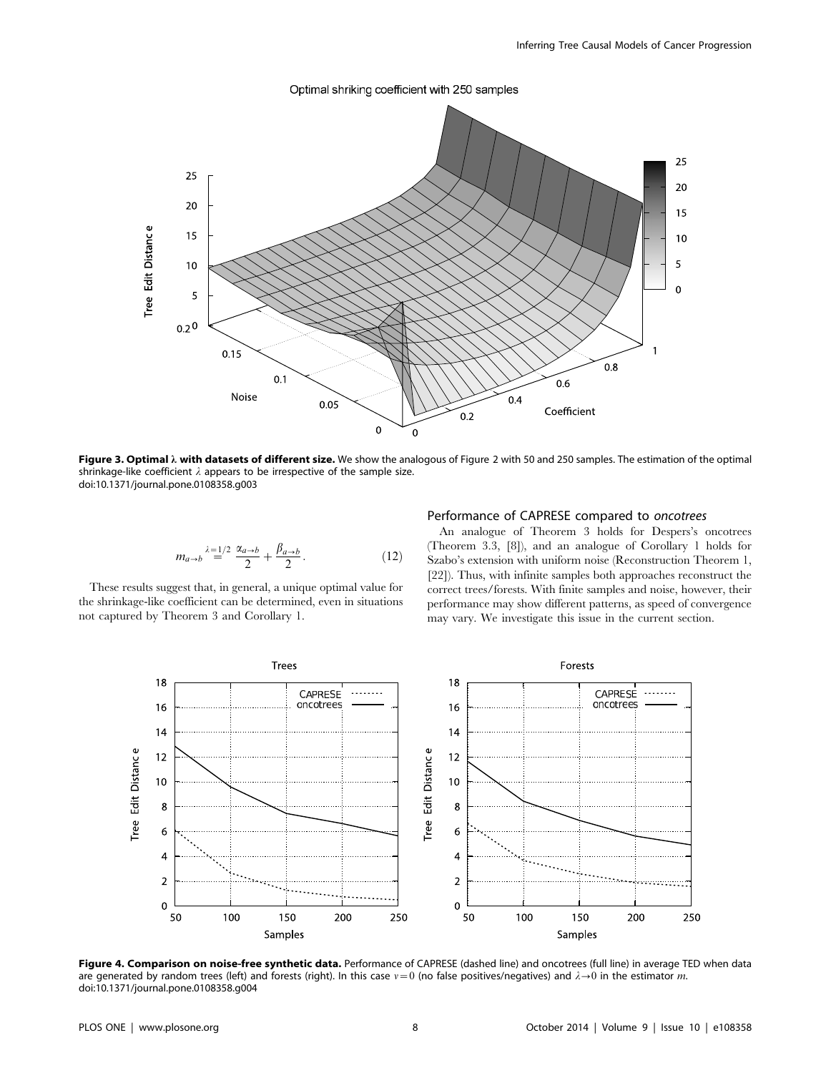

Optimal shriking coefficient with 250 samples

Figure 3. Optimal  $\lambda$  with datasets of different size. We show the analogous of Figure 2 with 50 and 250 samples. The estimation of the optimal shrinkage-like coefficient  $\lambda$  appears to be irrespective of the sample size. doi:10.1371/journal.pone.0108358.g003

$$
m_{a\to b} \stackrel{\lambda=1/2}{=} \frac{\alpha_{a\to b}}{2} + \frac{\beta_{a\to b}}{2}.
$$
 (12)

These results suggest that, in general, a unique optimal value for the shrinkage-like coefficient can be determined, even in situations not captured by Theorem 3 and Corollary 1.

# Performance of CAPRESE compared to oncotrees

An analogue of Theorem 3 holds for Despers's oncotrees (Theorem 3.3, [8]), and an analogue of Corollary 1 holds for Szabo's extension with uniform noise (Reconstruction Theorem 1, [22]). Thus, with infinite samples both approaches reconstruct the correct trees/forests. With finite samples and noise, however, their performance may show different patterns, as speed of convergence may vary. We investigate this issue in the current section.



Figure 4. Comparison on noise-free synthetic data. Performance of CAPRESE (dashed line) and oncotrees (full line) in average TED when data are generated by random trees (left) and forests (right). In this case  $v=0$  (no false positives/negatives) and  $\lambda \rightarrow 0$  in the estimator m. doi:10.1371/journal.pone.0108358.g004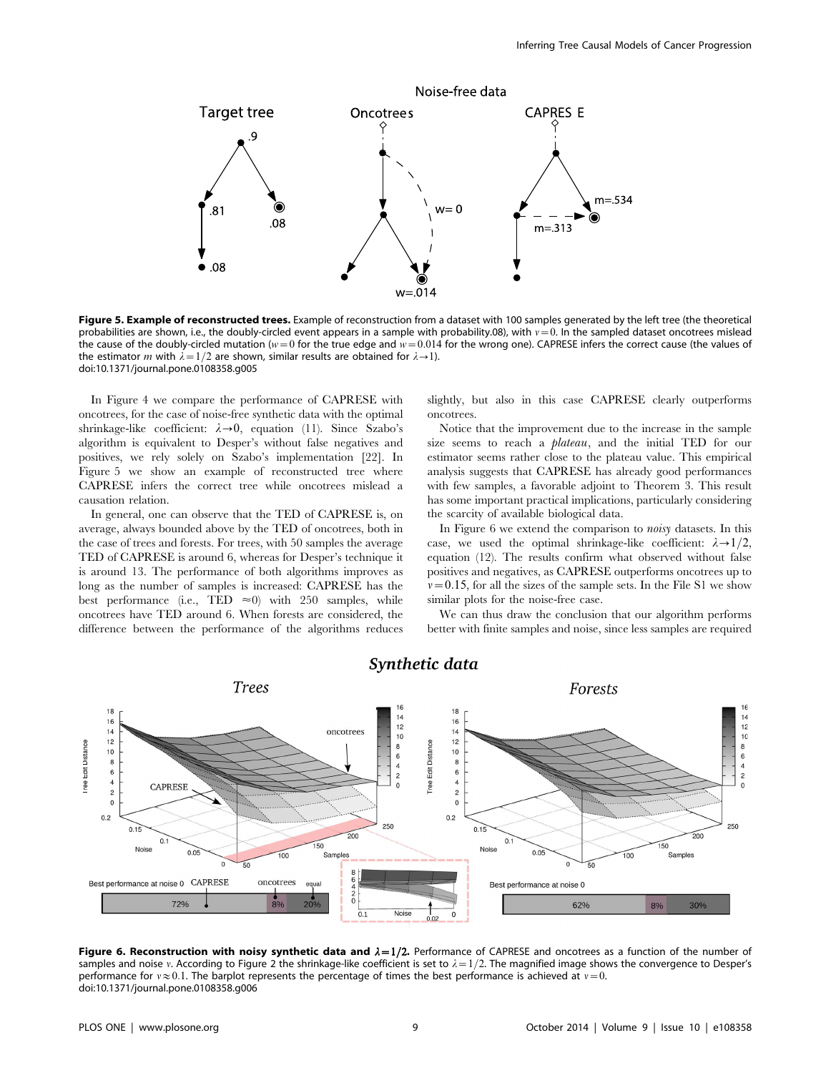

Figure 5. Example of reconstructed trees. Example of reconstruction from a dataset with 100 samples generated by the left tree (the theoretical probabilities are shown, i.e., the doubly-circled event appears in a sample with probability.08), with  $v = 0$ . In the sampled dataset oncotrees mislead the cause of the doubly-circled mutation ( $w=0$  for the true edge and  $w=0.014$  for the wrong one). CAPRESE infers the correct cause (the values of the estimator *m* with  $\lambda=1/2$  are shown, similar results are obtained for  $\lambda \rightarrow 1$ ). doi:10.1371/journal.pone.0108358.g005

In Figure 4 we compare the performance of CAPRESE with oncotrees, for the case of noise-free synthetic data with the optimal shrinkage-like coefficient:  $\lambda \rightarrow 0$ , equation (11). Since Szabo's algorithm is equivalent to Desper's without false negatives and positives, we rely solely on Szabo's implementation [22]. In Figure 5 we show an example of reconstructed tree where CAPRESE infers the correct tree while oncotrees mislead a causation relation.

In general, one can observe that the TED of CAPRESE is, on average, always bounded above by the TED of oncotrees, both in the case of trees and forests. For trees, with 50 samples the average TED of CAPRESE is around 6, whereas for Desper's technique it is around 13. The performance of both algorithms improves as long as the number of samples is increased: CAPRESE has the best performance (i.e., TED  $\approx$ 0) with 250 samples, while oncotrees have TED around 6. When forests are considered, the difference between the performance of the algorithms reduces slightly, but also in this case CAPRESE clearly outperforms oncotrees.

Notice that the improvement due to the increase in the sample size seems to reach a *plateau*, and the initial TED for our estimator seems rather close to the plateau value. This empirical analysis suggests that CAPRESE has already good performances with few samples, a favorable adjoint to Theorem 3. This result has some important practical implications, particularly considering the scarcity of available biological data.

In Figure 6 we extend the comparison to noisy datasets. In this case, we used the optimal shrinkage-like coefficient:  $\lambda \rightarrow 1/2$ , equation (12). The results confirm what observed without false positives and negatives, as CAPRESE outperforms oncotrees up to  $v=0.15$ , for all the sizes of the sample sets. In the File S1 we show similar plots for the noise-free case.

We can thus draw the conclusion that our algorithm performs better with finite samples and noise, since less samples are required



# Synthetic data

Figure 6. Reconstruction with noisy synthetic data and  $\lambda=1/2$ . Performance of CAPRESE and oncotrees as a function of the number of samples and noise v. According to Figure 2 the shrinkage-like coefficient is set to  $\lambda = 1/2$ . The magnified image shows the convergence to Desper's performance for  $v \approx 0.1$ . The barplot represents the percentage of times the best performance is achieved at  $v = 0$ . doi:10.1371/journal.pone.0108358.g006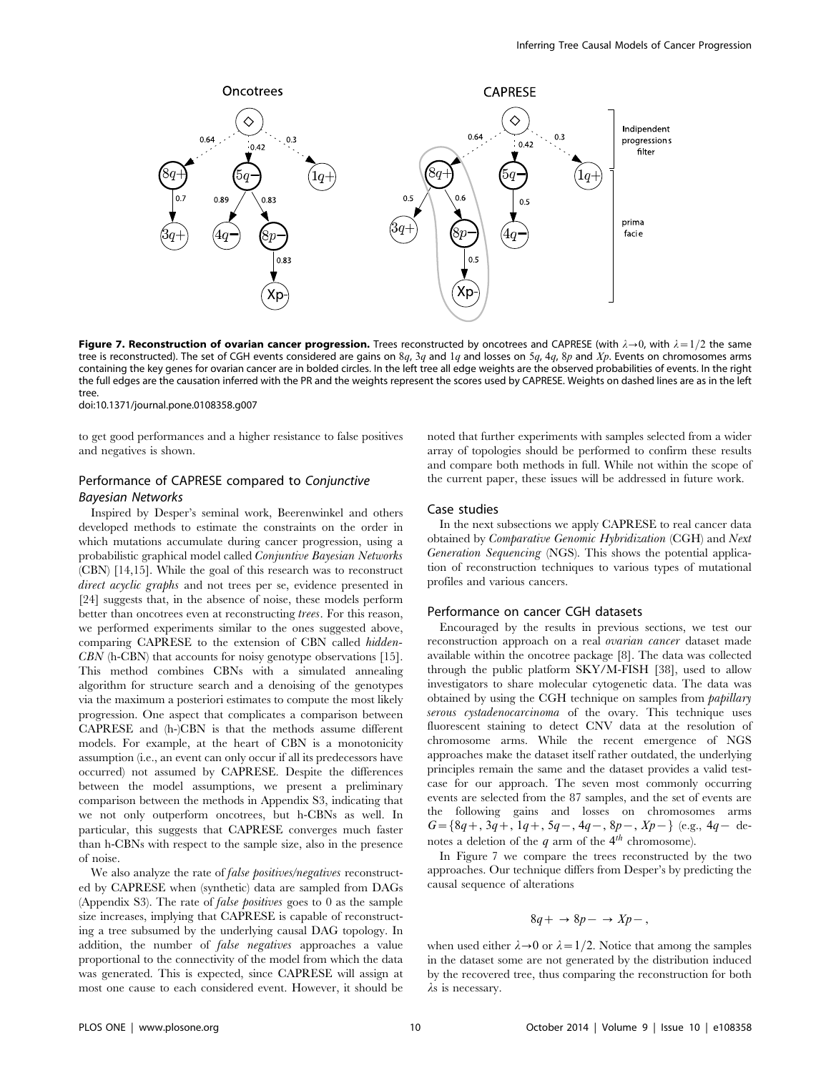

Figure 7. Reconstruction of ovarian cancer progression. Trees reconstructed by oncotrees and CAPRESE (with  $\lambda \rightarrow 0$ , with  $\lambda = 1/2$  the same tree is reconstructed). The set of CGH events considered are gains on  $8q$ ,  $3q$  and  $1q$  and losses on  $5q$ ,  $4q$ ,  $8p$  and  $Xp$ . Events on chromosomes arms containing the key genes for ovarian cancer are in bolded circles. In the left tree all edge weights are the observed probabilities of events. In the right the full edges are the causation inferred with the PR and the weights represent the scores used by CAPRESE. Weights on dashed lines are as in the left tree.

doi:10.1371/journal.pone.0108358.g007

to get good performances and a higher resistance to false positives and negatives is shown.

# Performance of CAPRESE compared to Conjunctive

## Bayesian Networks

Inspired by Desper's seminal work, Beerenwinkel and others developed methods to estimate the constraints on the order in which mutations accumulate during cancer progression, using a probabilistic graphical model called Conjuntive Bayesian Networks (CBN) [14,15]. While the goal of this research was to reconstruct direct acyclic graphs and not trees per se, evidence presented in [24] suggests that, in the absence of noise, these models perform better than oncotrees even at reconstructing trees. For this reason, we performed experiments similar to the ones suggested above, comparing CAPRESE to the extension of CBN called hidden-CBN (h-CBN) that accounts for noisy genotype observations [15]. This method combines CBNs with a simulated annealing algorithm for structure search and a denoising of the genotypes via the maximum a posteriori estimates to compute the most likely progression. One aspect that complicates a comparison between CAPRESE and (h-)CBN is that the methods assume different models. For example, at the heart of CBN is a monotonicity assumption (i.e., an event can only occur if all its predecessors have occurred) not assumed by CAPRESE. Despite the differences between the model assumptions, we present a preliminary comparison between the methods in Appendix S3, indicating that we not only outperform oncotrees, but h-CBNs as well. In particular, this suggests that CAPRESE converges much faster than h-CBNs with respect to the sample size, also in the presence of noise.

We also analyze the rate of false positives/negatives reconstructed by CAPRESE when (synthetic) data are sampled from DAGs (Appendix S3). The rate of false positives goes to 0 as the sample size increases, implying that CAPRESE is capable of reconstructing a tree subsumed by the underlying causal DAG topology. In addition, the number of false negatives approaches a value proportional to the connectivity of the model from which the data was generated. This is expected, since CAPRESE will assign at most one cause to each considered event. However, it should be noted that further experiments with samples selected from a wider array of topologies should be performed to confirm these results and compare both methods in full. While not within the scope of the current paper, these issues will be addressed in future work.

#### Case studies

In the next subsections we apply CAPRESE to real cancer data obtained by Comparative Genomic Hybridization (CGH) and Next Generation Sequencing (NGS). This shows the potential application of reconstruction techniques to various types of mutational profiles and various cancers.

# Performance on cancer CGH datasets

Encouraged by the results in previous sections, we test our reconstruction approach on a real ovarian cancer dataset made available within the oncotree package [8]. The data was collected through the public platform SKY/M-FISH [38], used to allow investigators to share molecular cytogenetic data. The data was obtained by using the CGH technique on samples from papillary serous cystadenocarcinoma of the ovary. This technique uses fluorescent staining to detect CNV data at the resolution of chromosome arms. While the recent emergence of NGS approaches make the dataset itself rather outdated, the underlying principles remain the same and the dataset provides a valid testcase for our approach. The seven most commonly occurring events are selected from the 87 samples, and the set of events are the following gains and losses on chromosomes arms  $G = \{8q+, 3q+, 1q+, 5q-, 4q-, 8p-, Xp-\}$  (e.g.,  $4q$  denotes a deletion of the  $q$  arm of the  $4^{th}$  chromosome).

In Figure 7 we compare the trees reconstructed by the two approaches. Our technique differs from Desper's by predicting the causal sequence of alterations

$$
8q + \rightarrow 8p - \rightarrow Xp - ,
$$

when used either  $\lambda \rightarrow 0$  or  $\lambda = 1/2$ . Notice that among the samples in the dataset some are not generated by the distribution induced by the recovered tree, thus comparing the reconstruction for both  $\lambda$ s is necessary.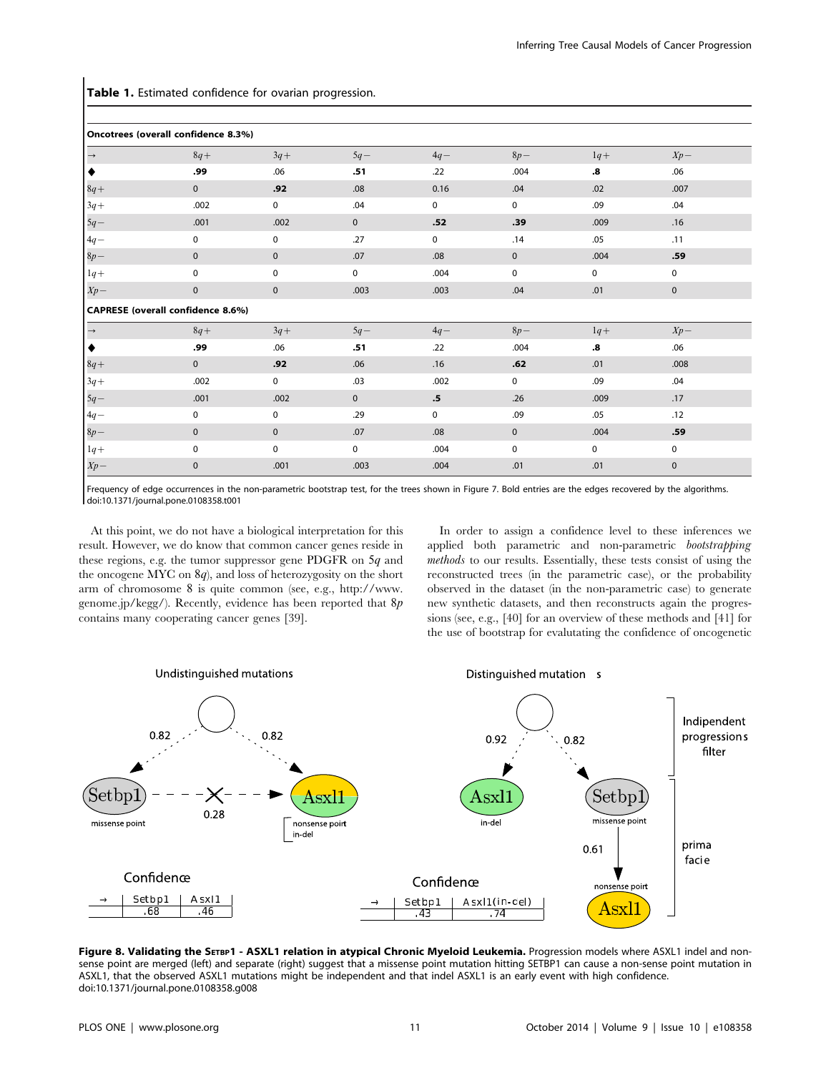Table 1. Estimated confidence for ovarian progression.

| Oncotrees (overall confidence 8.3%) |              |              |             |                 |             |                   |             |
|-------------------------------------|--------------|--------------|-------------|-----------------|-------------|-------------------|-------------|
| $\rightarrow$                       | $8q+$        | $3q+$        | $5q-$       | $4q-$           | $8p-$       | $1q+$             | $Xp-$       |
| $\bullet$                           | .99          | .06          | .51         | .22             | .004        | .8                | .06         |
| $8q+$                               | $\pmb{0}$    | .92          | .08         | 0.16            | .04         | .02               | .007        |
| $3q+$                               | .002         | 0            | .04         | 0               | $\mathbf 0$ | .09               | .04         |
| $5q-$                               | .001         | .002         | $\mathbf 0$ | .52             | .39         | .009              | .16         |
| $4q-$                               | $\pmb{0}$    | $\mathbf 0$  | .27         | 0               | .14         | .05               | .11         |
| $8p-$                               | $\mathbf 0$  | $\mathbf{0}$ | .07         | .08             | $\mathbf 0$ | .004              | .59         |
| $1q+$                               | $\pmb{0}$    | $\mathbf 0$  | 0           | .004            | 0           | 0                 | 0           |
| $Xp-$                               | $\pmb{0}$    | $\mathbf 0$  | .003        | .003            | .04         | .01               | $\mathbf 0$ |
| CAPRESE (overall confidence 8.6%)   |              |              |             |                 |             |                   |             |
| $\rightarrow$                       | $8q+$        | $3q+$        | $5q-$       | $4q-$           | $8p-$       | $1q+$             | $Xp-$       |
| ٠                                   | .99          | .06          | .51         | .22             | .004        | $\boldsymbol{.8}$ | .06         |
| $8q+$                               | $\mathbf{0}$ | .92          | .06         | .16             | .62         | .01               | .008        |
| $3q+$                               | .002         | $\mathbf 0$  | .03         | .002            | $\mathbf 0$ | .09               | .04         |
| $5q-$                               | .001         | .002         | $\mathbf 0$ | $.5\phantom{0}$ | .26         | .009              | .17         |
| $4q-$                               | $\pmb{0}$    | $\mathbf 0$  | .29         | 0               | .09         | .05               | .12         |
| $8p-$                               | $\mathbf 0$  | $\mathbf{0}$ | .07         | .08             | $\mathbf 0$ | .004              | .59         |
| $1q+$                               | 0            | $\mathbf 0$  | 0           | .004            | 0           | $\mathbf 0$       | 0           |
| $Xp-$                               | $\pmb{0}$    | .001         | .003        | .004            | .01         | .01               | 0           |

Frequency of edge occurrences in the non-parametric bootstrap test, for the trees shown in Figure 7. Bold entries are the edges recovered by the algorithms. doi:10.1371/journal.pone.0108358.t001

At this point, we do not have a biological interpretation for this result. However, we do know that common cancer genes reside in these regions, e.g. the tumor suppressor gene PDGFR on 5q and the oncogene MYC on 8q), and loss of heterozygosity on the short arm of chromosome 8 is quite common (see, e.g., [http://www.](http://www.genome.jp/kegg/) [genome.jp/kegg/](http://www.genome.jp/kegg/)). Recently, evidence has been reported that 8p contains many cooperating cancer genes [39].

In order to assign a confidence level to these inferences we applied both parametric and non-parametric bootstrapping methods to our results. Essentially, these tests consist of using the reconstructed trees (in the parametric case), or the probability observed in the dataset (in the non-parametric case) to generate new synthetic datasets, and then reconstructs again the progressions (see, e.g., [40] for an overview of these methods and [41] for the use of bootstrap for evalutating the confidence of oncogenetic



Figure 8. Validating the SETBP1 - ASXL1 relation in atypical Chronic Myeloid Leukemia. Progression models where ASXL1 indel and nonsense point are merged (left) and separate (right) suggest that a missense point mutation hitting SETBP1 can cause a non-sense point mutation in ASXL1, that the observed ASXL1 mutations might be independent and that indel ASXL1 is an early event with high confidence. doi:10.1371/journal.pone.0108358.g008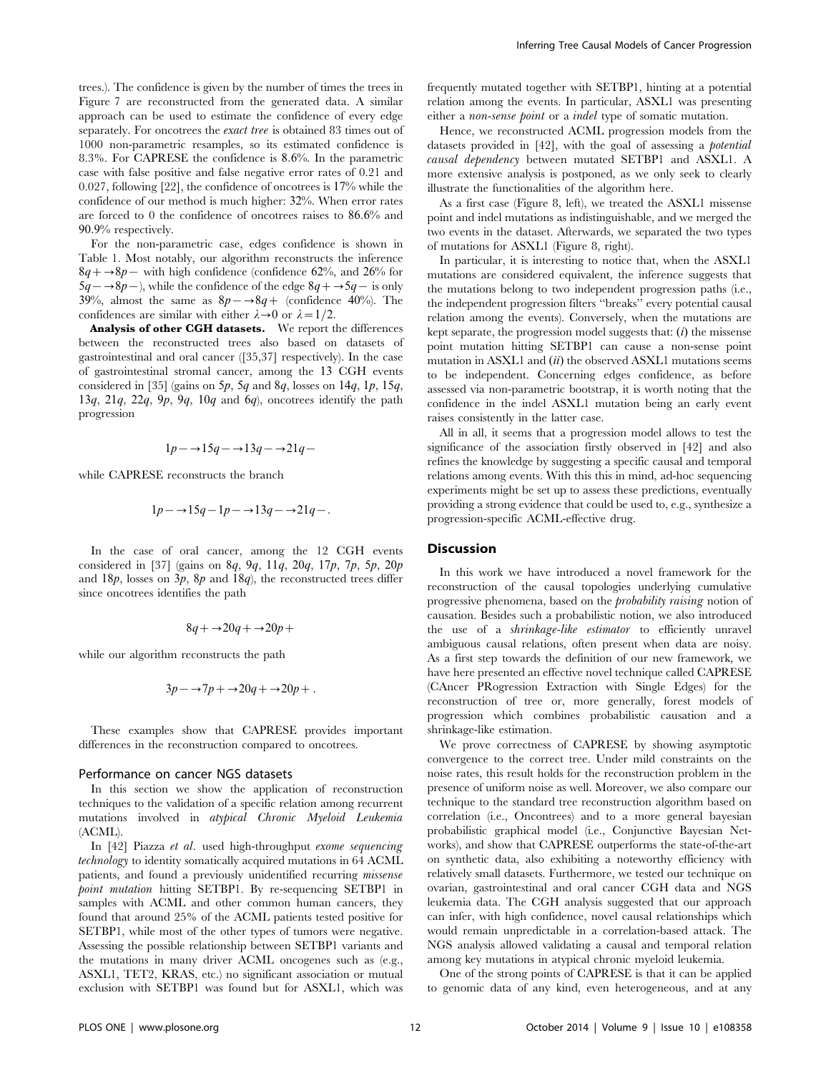trees.). The confidence is given by the number of times the trees in Figure 7 are reconstructed from the generated data. A similar approach can be used to estimate the confidence of every edge separately. For oncotrees the exact tree is obtained 83 times out of 1000 non-parametric resamples, so its estimated confidence is 8.3%. For CAPRESE the confidence is 8:6%. In the parametric case with false positive and false negative error rates of 0.21 and 0.027, following [22], the confidence of oncotrees is 17% while the confidence of our method is much higher: 32%. When error rates are forced to 0 the confidence of oncotrees raises to 86:6% and 90:9% respectively.

For the non-parametric case, edges confidence is shown in Table 1. Most notably, our algorithm reconstructs the inference  $8q + \rightarrow 8p$  with high confidence (confidence 62%, and 26% for  $5q$   $\rightarrow$   $8p$   $\rightarrow$ ), while the confidence of the edge  $8q + \rightarrow 5q$  is only 39%, almost the same as  $8p \rightarrow 8q +$  (confidence 40%). The confidences are similar with either  $\lambda \rightarrow 0$  or  $\lambda = 1/2$ .

Analysis of other CGH datasets. We report the differences between the reconstructed trees also based on datasets of gastrointestinal and oral cancer ([35,37] respectively). In the case of gastrointestinal stromal cancer, among the 13 CGH events considered in [35] (gains on  $5p$ ,  $5q$  and  $8q$ , losses on  $14q$ ,  $1p$ ,  $15q$ , 13q,  $21q$ ,  $22q$ ,  $9p$ ,  $9q$ ,  $10q$  and  $6q$ ), oncotrees identify the path progression

$$
1p \rightarrow 15q \rightarrow 13q \rightarrow 21q \rightarrow
$$

while CAPRESE reconstructs the branch

$$
1p \rightarrow 15q - 1p \rightarrow 13q - 21q -
$$

In the case of oral cancer, among the 12 CGH events considered in [37] (gains on 8q, 9q, 11q, 20q, 17p, 7p, 5p, 20p and 18p, losses on  $3p$ ,  $8p$  and 18q), the reconstructed trees differ since oncotrees identifies the path

$$
8q + \rightarrow 20q + \rightarrow 20p +
$$

while our algorithm reconstructs the path

$$
3p - 3p + 320q + 320p + .
$$

These examples show that CAPRESE provides important differences in the reconstruction compared to oncotrees.

#### Performance on cancer NGS datasets

In this section we show the application of reconstruction techniques to the validation of a specific relation among recurrent mutations involved in atypical Chronic Myeloid Leukemia (ACML).

In [42] Piazza et al. used high-throughput exome sequencing technology to identity somatically acquired mutations in 64 ACML patients, and found a previously unidentified recurring missense point mutation hitting SETBP1. By re-sequencing SETBP1 in samples with ACML and other common human cancers, they found that around 25% of the ACML patients tested positive for SETBP1, while most of the other types of tumors were negative. Assessing the possible relationship between SETBP1 variants and the mutations in many driver ACML oncogenes such as (e.g., ASXL1, TET2, KRAS, etc.) no significant association or mutual exclusion with SETBP1 was found but for ASXL1, which was frequently mutated together with SETBP1, hinting at a potential relation among the events. In particular, ASXL1 was presenting either a non-sense point or a indel type of somatic mutation.

Hence, we reconstructed ACML progression models from the datasets provided in [42], with the goal of assessing a potential causal dependency between mutated SETBP1 and ASXL1. A more extensive analysis is postponed, as we only seek to clearly illustrate the functionalities of the algorithm here.

As a first case (Figure 8, left), we treated the ASXL1 missense point and indel mutations as indistinguishable, and we merged the two events in the dataset. Afterwards, we separated the two types of mutations for ASXL1 (Figure 8, right).

In particular, it is interesting to notice that, when the ASXL1 mutations are considered equivalent, the inference suggests that the mutations belong to two independent progression paths (i.e., the independent progression filters ''breaks'' every potential causal relation among the events). Conversely, when the mutations are kept separate, the progression model suggests that:  $(i)$  the missense point mutation hitting SETBP1 can cause a non-sense point mutation in ASXL1 and (ii) the observed ASXL1 mutations seems to be independent. Concerning edges confidence, as before assessed via non-parametric bootstrap, it is worth noting that the confidence in the indel ASXL1 mutation being an early event raises consistently in the latter case.

All in all, it seems that a progression model allows to test the significance of the association firstly observed in [42] and also refines the knowledge by suggesting a specific causal and temporal relations among events. With this this in mind, ad-hoc sequencing experiments might be set up to assess these predictions, eventually providing a strong evidence that could be used to, e.g., synthesize a progression-specific ACML-effective drug.

#### **Discussion**

In this work we have introduced a novel framework for the reconstruction of the causal topologies underlying cumulative progressive phenomena, based on the probability raising notion of causation. Besides such a probabilistic notion, we also introduced the use of a shrinkage-like estimator to efficiently unravel ambiguous causal relations, often present when data are noisy. As a first step towards the definition of our new framework, we have here presented an effective novel technique called CAPRESE (CAncer PRogression Extraction with Single Edges) for the reconstruction of tree or, more generally, forest models of progression which combines probabilistic causation and a shrinkage-like estimation.

We prove correctness of CAPRESE by showing asymptotic convergence to the correct tree. Under mild constraints on the noise rates, this result holds for the reconstruction problem in the presence of uniform noise as well. Moreover, we also compare our technique to the standard tree reconstruction algorithm based on correlation (i.e., Oncontrees) and to a more general bayesian probabilistic graphical model (i.e., Conjunctive Bayesian Networks), and show that CAPRESE outperforms the state-of-the-art on synthetic data, also exhibiting a noteworthy efficiency with relatively small datasets. Furthermore, we tested our technique on ovarian, gastrointestinal and oral cancer CGH data and NGS leukemia data. The CGH analysis suggested that our approach can infer, with high confidence, novel causal relationships which would remain unpredictable in a correlation-based attack. The NGS analysis allowed validating a causal and temporal relation among key mutations in atypical chronic myeloid leukemia.

One of the strong points of CAPRESE is that it can be applied to genomic data of any kind, even heterogeneous, and at any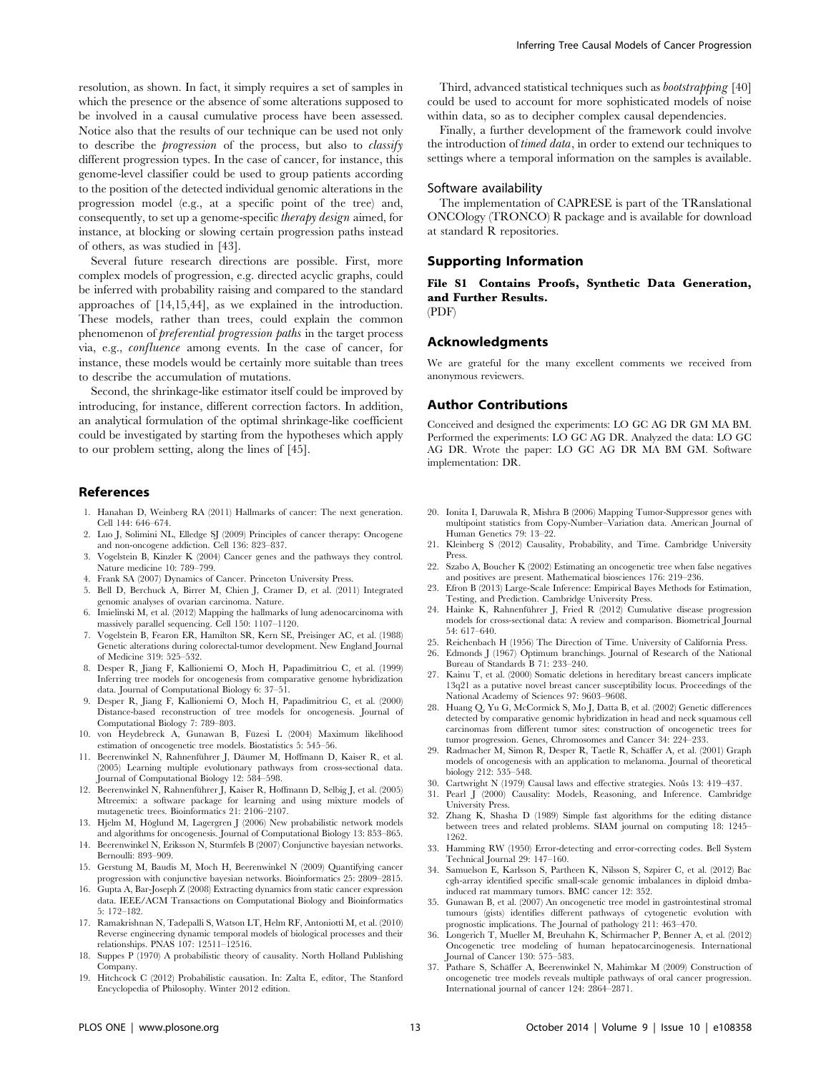resolution, as shown. In fact, it simply requires a set of samples in which the presence or the absence of some alterations supposed to be involved in a causal cumulative process have been assessed. Notice also that the results of our technique can be used not only to describe the progression of the process, but also to classify different progression types. In the case of cancer, for instance, this genome-level classifier could be used to group patients according to the position of the detected individual genomic alterations in the progression model (e.g., at a specific point of the tree) and, consequently, to set up a genome-specific therapy design aimed, for instance, at blocking or slowing certain progression paths instead of others, as was studied in [43].

Several future research directions are possible. First, more complex models of progression, e.g. directed acyclic graphs, could be inferred with probability raising and compared to the standard approaches of [14,15,44], as we explained in the introduction. These models, rather than trees, could explain the common phenomenon of preferential progression paths in the target process via, e.g., confluence among events. In the case of cancer, for instance, these models would be certainly more suitable than trees to describe the accumulation of mutations.

Second, the shrinkage-like estimator itself could be improved by introducing, for instance, different correction factors. In addition, an analytical formulation of the optimal shrinkage-like coefficient could be investigated by starting from the hypotheses which apply to our problem setting, along the lines of [45].

#### References

- 1. Hanahan D, Weinberg RA (2011) Hallmarks of cancer: The next generation. Cell 144: 646–674.
- 2. Luo J, Solimini NL, Elledge SJ (2009) Principles of cancer therapy: Oncogene and non-oncogene addiction. Cell 136: 823–837.
- 3. Vogelstein B, Kinzler K (2004) Cancer genes and the pathways they control. Nature medicine 10: 789–799.
- 4. Frank SA (2007) Dynamics of Cancer. Princeton University Press.
- 5. Bell D, Berchuck A, Birrer M, Chien J, Cramer D, et al. (2011) Integrated genomic analyses of ovarian carcinoma. Nature.
- 6. Imielinski M, et al. (2012) Mapping the hallmarks of lung adenocarcinoma with massively parallel sequencing. Cell 150: 1107–1120.
- 7. Vogelstein B, Fearon ER, Hamilton SR, Kern SE, Preisinger AC, et al. (1988) Genetic alterations during colorectal-tumor development. New England Journal of Medicine 319: 525–532.
- 8. Desper R, Jiang F, Kallioniemi O, Moch H, Papadimitriou C, et al. (1999) Inferring tree models for oncogenesis from comparative genome hybridization data. Journal of Computational Biology 6: 37–51.
- 9. Desper R, Jiang F, Kallioniemi O, Moch H, Papadimitriou C, et al. (2000) Distance-based reconstruction of tree models for oncogenesis. Journal of Computational Biology 7: 789–803.
- 10. von Heydebreck A, Gunawan B, Füzesi L (2004) Maximum likelihood estimation of oncogenetic tree models. Biostatistics 5: 545–56.
- 11. Beerenwinkel N, Rahnenführer J, Däumer M, Hoffmann D, Kaiser R, et al. (2005) Learning multiple evolutionary pathways from cross-sectional data. Journal of Computational Biology 12: 584–598.
- 12. Beerenwinkel N, Rahnenführer J, Kaiser R, Hoffmann D, Selbig J, et al. (2005) Mtreemix: a software package for learning and using mixture models of mutagenetic trees. Bioinformatics 21: 2106–2107.
- 13. Hjelm M, Höglund M, Lagergren J (2006) New probabilistic network models and algorithms for oncogenesis. Journal of Computational Biology 13: 853–865.
- 14. Beerenwinkel N, Eriksson N, Sturmfels B (2007) Conjunctive bayesian networks. Bernoulli: 893–909.
- 15. Gerstung M, Baudis M, Moch H, Beerenwinkel N (2009) Quantifying cancer progression with conjunctive bayesian networks. Bioinformatics 25: 2809–2815.
- 16. Gupta A, Bar-Joseph Z (2008) Extracting dynamics from static cancer expression data. IEEE/ACM Transactions on Computational Biology and Bioinformatics 5: 172–182.
- 17. Ramakrishnan N, Tadepalli S, Watson LT, Helm RF, Antoniotti M, et al. (2010) Reverse engineering dynamic temporal models of biological processes and their relationships. PNAS 107: 12511–12516.
- 18. Suppes P (1970) A probabilistic theory of causality. North Holland Publishing Company.
- 19. Hitchcock C (2012) Probabilistic causation. In: Zalta E, editor, The Stanford Encyclopedia of Philosophy. Winter 2012 edition.

Third, advanced statistical techniques such as bootstrapping [40] could be used to account for more sophisticated models of noise within data, so as to decipher complex causal dependencies.

Finally, a further development of the framework could involve the introduction of timed data, in order to extend our techniques to settings where a temporal information on the samples is available.

#### Software availability

The implementation of CAPRESE is part of the TRanslational ONCOlogy (TRONCO) R package and is available for download at standard R repositories.

# Supporting Information

File S1 Contains Proofs, Synthetic Data Generation, and Further Results.

(PDF)

#### Acknowledgments

We are grateful for the many excellent comments we received from anonymous reviewers.

#### Author Contributions

Conceived and designed the experiments: LO GC AG DR GM MA BM. Performed the experiments: LO GC AG DR. Analyzed the data: LO GC AG DR. Wrote the paper: LO GC AG DR MA BM GM. Software implementation: DR.

- 20. Ionita I, Daruwala R, Mishra B (2006) Mapping Tumor-Suppressor genes with multipoint statistics from Copy-Number–Variation data. American Journal of Human Genetics 79: 13–22.
- 21. Kleinberg S (2012) Causality, Probability, and Time. Cambridge University Press.
- 22. Szabo A, Boucher K (2002) Estimating an oncogenetic tree when false negatives and positives are present. Mathematical biosciences 176: 219–236.
- 23. Efron B (2013) Large-Scale Inference: Empirical Bayes Methods for Estimation, Testing, and Prediction. Cambridge University Press.
- 24. Hainke K, Rahnenführer J, Fried R (2012) Cumulative disease progression models for cross-sectional data: A review and comparison. Biometrical Journal 54: 617–640.
- 25. Reichenbach H (1956) The Direction of Time. University of California Press.
- 26. Edmonds J (1967) Optimum branchings. Journal of Research of the National Bureau of Standards B 71: 233–240.
- 27. Kainu T, et al. (2000) Somatic deletions in hereditary breast cancers implicate 13q21 as a putative novel breast cancer susceptibility locus. Proceedings of the National Academy of Sciences 97: 9603–9608.
- 28. Huang Q, Yu G, McCormick S, Mo J, Datta B, et al. (2002) Genetic differences detected by comparative genomic hybridization in head and neck squamous cell carcinomas from different tumor sites: construction of oncogenetic trees for tumor progression. Genes, Chromosomes and Cancer 34: 224–233.
- 29. Radmacher M, Simon R, Desper R, Taetle R, Schäffer A, et al. (2001) Graph models of oncogenesis with an application to melanoma. Journal of theoretical biology 212: 535–548.
- 30. Cartwright N (1979) Causal laws and effective strategies. Noûs 13: 419-437.
- 31. Pearl J (2000) Causality: Models, Reasoning, and Inference. Cambridge University Press.
- 32. Zhang K, Shasha D (1989) Simple fast algorithms for the editing distance between trees and related problems. SIAM journal on computing 18: 1245– 1262.
- 33. Hamming RW (1950) Error-detecting and error-correcting codes. Bell System Technical Journal 29: 147–160.
- 34. Samuelson E, Karlsson S, Partheen K, Nilsson S, Szpirer C, et al. (2012) Bac cgh-array identified specific small-scale genomic imbalances in diploid dmbainduced rat mammary tumors. BMC cancer 12: 352.
- 35. Gunawan B, et al. (2007) An oncogenetic tree model in gastrointestinal stromal tumours (gists) identifies different pathways of cytogenetic evolution with prognostic implications. The Journal of pathology 211: 463–470.
- 36. Longerich T, Mueller M, Breuhahn K, Schirmacher P, Benner A, et al. (2012) Oncogenetic tree modeling of human hepatocarcinogenesis. International ournal of Cancer 130: 575-583.
- 37. Pathare S, Schäffer A, Beerenwinkel N, Mahimkar M (2009) Construction of oncogenetic tree models reveals multiple pathways of oral cancer progression. International journal of cancer 124: 2864–2871.